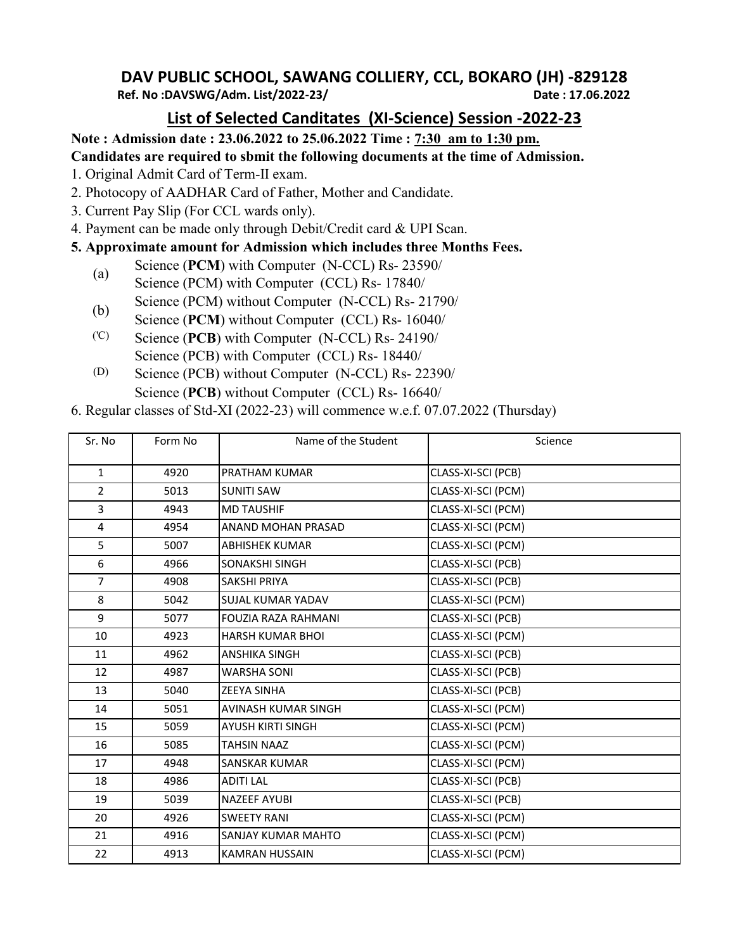## **DAV PUBLIC SCHOOL, SAWANG COLLIERY, CCL, BOKARO (JH) -829128**

**Ref. No :DAVSWG/Adm. List/2022-23/ Date : 17.06.2022**

## **List of Selected Canditates (XI-Science) Session -2022-23**

**Note : Admission date : 23.06.2022 to 25.06.2022 Time : 7:30 am to 1:30 pm.**

**Candidates are required to sbmit the following documents at the time of Admission.**

- 1. Original Admit Card of Term-II exam.
- 2. Photocopy of AADHAR Card of Father, Mother and Candidate.
- 3. Current Pay Slip (For CCL wards only).
- 4. Payment can be made only through Debit/Credit card & UPI Scan.
- **5. Approximate amount for Admission which includes three Months Fees.**
	- (a) Science (**PCM**) with Computer (N-CCL) Rs- 23590/
	- Science (PCM) with Computer (CCL) Rs- 17840/
	- (b) Science (PCM) without Computer  $(N-CL)$  Rs- 21790/
	- Science (**PCM**) without Computer (CCL) Rs- 16040/
	- ('C) Science (**PCB**) with Computer (N-CCL) Rs- 24190/ Science (PCB) with Computer (CCL) Rs- 18440/
	- (D) Science (PCB) without Computer (N-CCL) Rs- 22390/ Science (**PCB**) without Computer (CCL) Rs- 16640/
- 6. Regular classes of Std-XI (2022-23) will commence w.e.f. 07.07.2022 (Thursday)

| Sr. No         | Form No | Name of the Student        | Science            |
|----------------|---------|----------------------------|--------------------|
| $\mathbf{1}$   | 4920    | PRATHAM KUMAR              | CLASS-XI-SCI (PCB) |
| $\overline{2}$ | 5013    | <b>SUNITI SAW</b>          | CLASS-XI-SCI (PCM) |
| $\overline{3}$ | 4943    | <b>MD TAUSHIF</b>          | CLASS-XI-SCI (PCM) |
| 4              | 4954    | ANAND MOHAN PRASAD         | CLASS-XI-SCI (PCM) |
| 5              | 5007    | <b>ABHISHEK KUMAR</b>      | CLASS-XI-SCI (PCM) |
| 6              | 4966    | SONAKSHI SINGH             | CLASS-XI-SCI (PCB) |
| $\overline{7}$ | 4908    | <b>SAKSHI PRIYA</b>        | CLASS-XI-SCI (PCB) |
| 8              | 5042    | SUJAL KUMAR YADAV          | CLASS-XI-SCI (PCM) |
| 9              | 5077    | <b>FOUZIA RAZA RAHMANI</b> | CLASS-XI-SCI (PCB) |
| 10             | 4923    | <b>HARSH KUMAR BHOL</b>    | CLASS-XI-SCI (PCM) |
| 11             | 4962    | <b>ANSHIKA SINGH</b>       | CLASS-XI-SCI (PCB) |
| 12             | 4987    | <b>WARSHA SONI</b>         | CLASS-XI-SCI (PCB) |
| 13             | 5040    | <b>ZEEYA SINHA</b>         | CLASS-XI-SCI (PCB) |
| 14             | 5051    | AVINASH KUMAR SINGH        | CLASS-XI-SCI (PCM) |
| 15             | 5059    | AYUSH KIRTI SINGH          | CLASS-XI-SCI (PCM) |
| 16             | 5085    | <b>TAHSIN NAAZ</b>         | CLASS-XI-SCI (PCM) |
| 17             | 4948    | SANSKAR KUMAR              | CLASS-XI-SCI (PCM) |
| 18             | 4986    | <b>ADITI LAL</b>           | CLASS-XI-SCI (PCB) |
| 19             | 5039    | <b>NAZEEF AYUBI</b>        | CLASS-XI-SCI (PCB) |
| 20             | 4926    | <b>SWEETY RANI</b>         | CLASS-XI-SCI (PCM) |
| 21             | 4916    | SANJAY KUMAR MAHTO         | CLASS-XI-SCI (PCM) |
| 22             | 4913    | <b>KAMRAN HUSSAIN</b>      | CLASS-XI-SCI (PCM) |